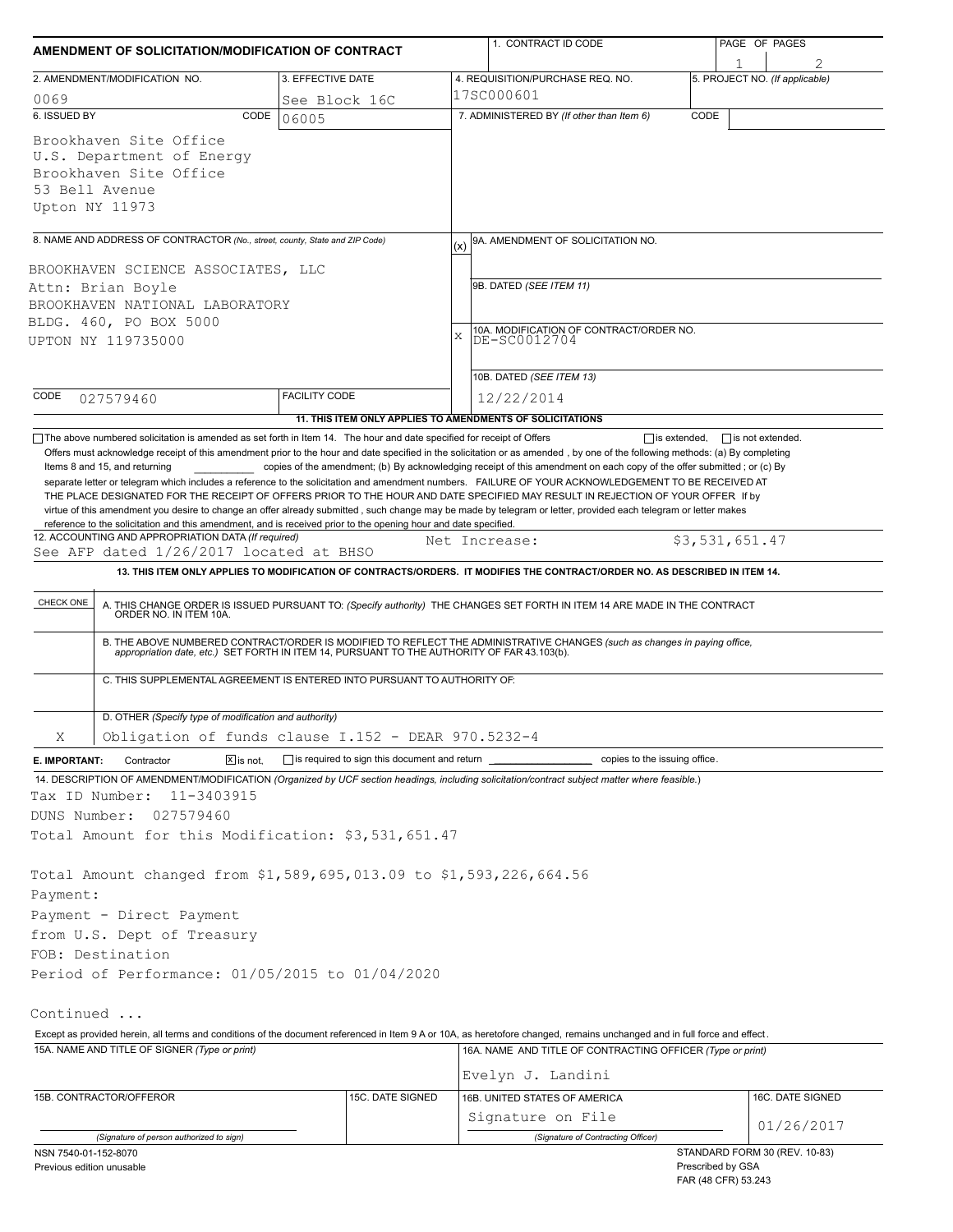| AMENDMENT OF SOLICITATION/MODIFICATION OF CONTRACT                                                                                                                                                                                                                                                                                                                                                                                                                           |                                                            |               | 1. CONTRACT ID CODE                                                                                                                                                                                                   |         | PAGE OF PAGES                                      |  |  |  |
|------------------------------------------------------------------------------------------------------------------------------------------------------------------------------------------------------------------------------------------------------------------------------------------------------------------------------------------------------------------------------------------------------------------------------------------------------------------------------|------------------------------------------------------------|---------------|-----------------------------------------------------------------------------------------------------------------------------------------------------------------------------------------------------------------------|---------|----------------------------------------------------|--|--|--|
| 2. AMENDMENT/MODIFICATION NO.                                                                                                                                                                                                                                                                                                                                                                                                                                                | 3. EFFECTIVE DATE                                          |               | 4. REQUISITION/PURCHASE REQ. NO.                                                                                                                                                                                      |         | 1<br>5. PROJECT NO. (If applicable)                |  |  |  |
| 0069                                                                                                                                                                                                                                                                                                                                                                                                                                                                         | See Block 16C                                              |               | 17SC000601                                                                                                                                                                                                            |         |                                                    |  |  |  |
| 6. ISSUED BY<br>CODE                                                                                                                                                                                                                                                                                                                                                                                                                                                         | 06005                                                      |               | 7. ADMINISTERED BY (If other than Item 6)<br>CODE                                                                                                                                                                     |         |                                                    |  |  |  |
| Brookhaven Site Office<br>U.S. Department of Energy<br>Brookhaven Site Office<br>53 Bell Avenue<br>Upton NY 11973                                                                                                                                                                                                                                                                                                                                                            |                                                            |               |                                                                                                                                                                                                                       |         |                                                    |  |  |  |
| 8. NAME AND ADDRESS OF CONTRACTOR (No., street, county, State and ZIP Code)                                                                                                                                                                                                                                                                                                                                                                                                  |                                                            | (x)           | 9A. AMENDMENT OF SOLICITATION NO.                                                                                                                                                                                     |         |                                                    |  |  |  |
|                                                                                                                                                                                                                                                                                                                                                                                                                                                                              |                                                            |               |                                                                                                                                                                                                                       |         |                                                    |  |  |  |
| BROOKHAVEN SCIENCE ASSOCIATES, LLC                                                                                                                                                                                                                                                                                                                                                                                                                                           |                                                            |               | 9B. DATED (SEE ITEM 11)                                                                                                                                                                                               |         |                                                    |  |  |  |
| Attn: Brian Boyle<br>BROOKHAVEN NATIONAL LABORATORY<br>BLDG. 460, PO BOX 5000                                                                                                                                                                                                                                                                                                                                                                                                |                                                            |               |                                                                                                                                                                                                                       |         |                                                    |  |  |  |
|                                                                                                                                                                                                                                                                                                                                                                                                                                                                              |                                                            |               |                                                                                                                                                                                                                       |         |                                                    |  |  |  |
|                                                                                                                                                                                                                                                                                                                                                                                                                                                                              |                                                            |               |                                                                                                                                                                                                                       |         |                                                    |  |  |  |
|                                                                                                                                                                                                                                                                                                                                                                                                                                                                              |                                                            |               | 10B. DATED (SEE ITEM 13)                                                                                                                                                                                              |         |                                                    |  |  |  |
| CODE<br>027579460                                                                                                                                                                                                                                                                                                                                                                                                                                                            | <b>FACILITY CODE</b>                                       |               | 12/22/2014                                                                                                                                                                                                            |         |                                                    |  |  |  |
|                                                                                                                                                                                                                                                                                                                                                                                                                                                                              |                                                            |               | 11. THIS ITEM ONLY APPLIES TO AMENDMENTS OF SOLICITATIONS                                                                                                                                                             |         |                                                    |  |  |  |
| THE PLACE DESIGNATED FOR THE RECEIPT OF OFFERS PRIOR TO THE HOUR AND DATE SPECIFIED MAY RESULT IN REJECTION OF YOUR OFFER If by<br>virtue of this amendment you desire to change an offer already submitted, such change may be made by telegram or letter, provided each telegram or letter makes<br>reference to the solicitation and this amendment, and is received prior to the opening hour and date specified.<br>12. ACCOUNTING AND APPROPRIATION DATA (If required) |                                                            | Net Increase: |                                                                                                                                                                                                                       |         | \$3,531,651.47                                     |  |  |  |
| See AFP dated 1/26/2017 located at BHSO                                                                                                                                                                                                                                                                                                                                                                                                                                      |                                                            |               |                                                                                                                                                                                                                       |         |                                                    |  |  |  |
|                                                                                                                                                                                                                                                                                                                                                                                                                                                                              |                                                            |               | 13. THIS ITEM ONLY APPLIES TO MODIFICATION OF CONTRACTS/ORDERS. IT MODIFIES THE CONTRACT/ORDER NO. AS DESCRIBED IN ITEM 14.                                                                                           |         |                                                    |  |  |  |
| CHECK ONE                                                                                                                                                                                                                                                                                                                                                                                                                                                                    |                                                            |               | A. THIS CHANGE ORDER IS ISSUED PURSUANT TO: (Specify authority) THE CHANGES SET FORTH IN ITEM 14 ARE MADE IN THE CONTRACT ORDER NO. IN ITEM 10A.                                                                      |         |                                                    |  |  |  |
|                                                                                                                                                                                                                                                                                                                                                                                                                                                                              |                                                            |               | B. THE ABOVE NUMBERED CONTRACT/ORDER IS MODIFIED TO REFLECT THE ADMINISTRATIVE CHANGES (such as changes in paying office, appropriation date, etc.) SET FORTH IN ITEM 14, PURSUANT TO THE AUTHORITY OF FAR 43.103(b). |         |                                                    |  |  |  |
| C. THIS SUPPLEMENTAL AGREEMENT IS ENTERED INTO PURSUANT TO AUTHORITY OF:                                                                                                                                                                                                                                                                                                                                                                                                     |                                                            |               |                                                                                                                                                                                                                       |         |                                                    |  |  |  |
| D. OTHER (Specify type of modification and authority)                                                                                                                                                                                                                                                                                                                                                                                                                        |                                                            |               |                                                                                                                                                                                                                       |         |                                                    |  |  |  |
| Obligation of funds clause I.152 - DEAR 970.5232-4<br>Χ                                                                                                                                                                                                                                                                                                                                                                                                                      |                                                            |               |                                                                                                                                                                                                                       |         |                                                    |  |  |  |
| $\boxed{\mathsf{X}}$ is not.<br>E. IMPORTANT:<br>Contractor                                                                                                                                                                                                                                                                                                                                                                                                                  | $\Box$ is required to sign this document and return $\Box$ |               | copies to the issuing office.                                                                                                                                                                                         |         |                                                    |  |  |  |
| 14. DESCRIPTION OF AMENDMENT/MODIFICATION (Organized by UCF section headings, including solicitation/contract subject matter where feasible.)<br>Tax ID Number:<br>11-3403915                                                                                                                                                                                                                                                                                                |                                                            |               |                                                                                                                                                                                                                       |         |                                                    |  |  |  |
| DUNS Number:<br>027579460                                                                                                                                                                                                                                                                                                                                                                                                                                                    |                                                            |               |                                                                                                                                                                                                                       |         |                                                    |  |  |  |
| Total Amount for this Modification: \$3,531,651.47                                                                                                                                                                                                                                                                                                                                                                                                                           |                                                            |               |                                                                                                                                                                                                                       |         |                                                    |  |  |  |
| Total Amount changed from \$1,589,695,013.09 to \$1,593,226,664.56                                                                                                                                                                                                                                                                                                                                                                                                           |                                                            |               |                                                                                                                                                                                                                       |         |                                                    |  |  |  |
| Payment:                                                                                                                                                                                                                                                                                                                                                                                                                                                                     |                                                            |               |                                                                                                                                                                                                                       |         |                                                    |  |  |  |
| Payment - Direct Payment                                                                                                                                                                                                                                                                                                                                                                                                                                                     |                                                            |               |                                                                                                                                                                                                                       |         |                                                    |  |  |  |
| from U.S. Dept of Treasury                                                                                                                                                                                                                                                                                                                                                                                                                                                   |                                                            |               |                                                                                                                                                                                                                       |         |                                                    |  |  |  |
| FOB: Destination                                                                                                                                                                                                                                                                                                                                                                                                                                                             |                                                            |               |                                                                                                                                                                                                                       |         |                                                    |  |  |  |
| Period of Performance: 01/05/2015 to 01/04/2020                                                                                                                                                                                                                                                                                                                                                                                                                              |                                                            |               |                                                                                                                                                                                                                       |         |                                                    |  |  |  |
| Continued                                                                                                                                                                                                                                                                                                                                                                                                                                                                    |                                                            |               |                                                                                                                                                                                                                       |         |                                                    |  |  |  |
| Except as provided herein, all terms and conditions of the document referenced in Item 9 A or 10A, as heretofore changed, remains unchanged and in full force and effect.                                                                                                                                                                                                                                                                                                    |                                                            |               |                                                                                                                                                                                                                       |         |                                                    |  |  |  |
| 15A. NAME AND TITLE OF SIGNER (Type or print)                                                                                                                                                                                                                                                                                                                                                                                                                                |                                                            |               | 16A. NAME AND TITLE OF CONTRACTING OFFICER (Type or print)                                                                                                                                                            |         |                                                    |  |  |  |
|                                                                                                                                                                                                                                                                                                                                                                                                                                                                              |                                                            |               | Evelyn J. Landini                                                                                                                                                                                                     |         |                                                    |  |  |  |
| 15B. CONTRACTOR/OFFEROR                                                                                                                                                                                                                                                                                                                                                                                                                                                      | 15C. DATE SIGNED                                           |               | 16B. UNITED STATES OF AMERICA                                                                                                                                                                                         |         | 16C. DATE SIGNED                                   |  |  |  |
|                                                                                                                                                                                                                                                                                                                                                                                                                                                                              |                                                            |               | Signature on File                                                                                                                                                                                                     |         | 01/26/2017                                         |  |  |  |
| (Signature of person authorized to sign)                                                                                                                                                                                                                                                                                                                                                                                                                                     |                                                            |               | (Signature of Contracting Officer)                                                                                                                                                                                    |         |                                                    |  |  |  |
| NSN 7540-01-152-8070<br>Previous edition unusable                                                                                                                                                                                                                                                                                                                                                                                                                            |                                                            |               |                                                                                                                                                                                                                       | (40.05) | STANDARD FORM 30 (REV. 10-83)<br>Prescribed by GSA |  |  |  |

FAR (48 CFR) 53.243